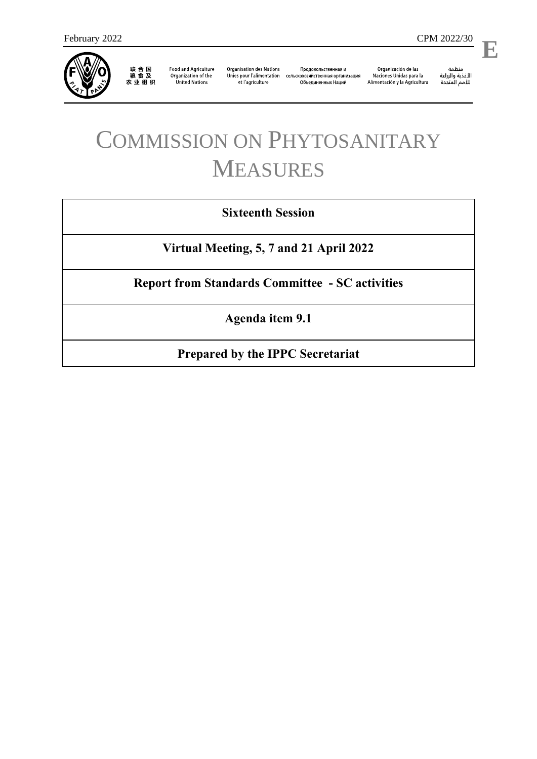

联 合 国<br>粮 食 及<br>农 业 组 织

**Food and Agriculture** Organization of the **United Nations** 

**Organisation des Nations** et l'agriculture

Продовольственная и Unies pour l'alimentation сельскохозяйственная организация Объединенных Наций

Organización de las Naciones Unidas para la Alimentación y la Agricultura ستنسه<br>الأغذية والزراعة<br>للأمم المتددة

l,

# COMMISSION ON PHYTOSANITARY MEASURES

# **Sixteenth Session**

**Virtual Meeting, 5, 7 and 21 April 2022**

**Report from Standards Committee - SC activities**

**Agenda item 9.1**

**Prepared by the IPPC Secretariat**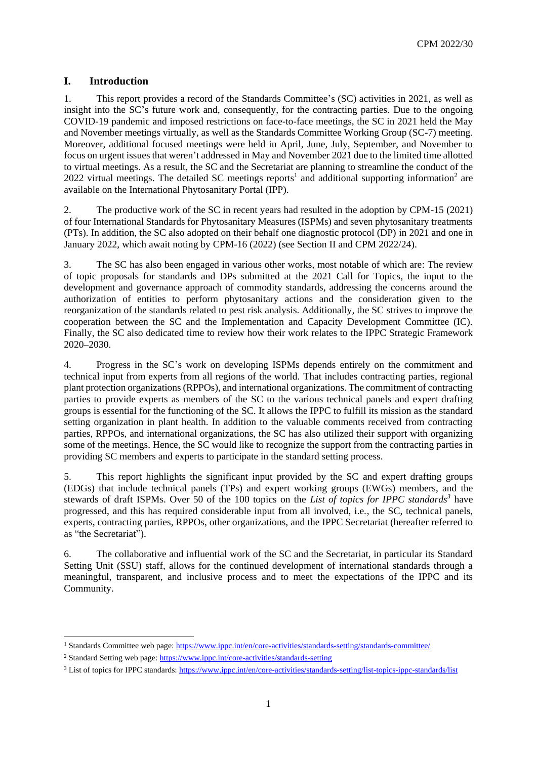## **I. Introduction**

1. This report provides a record of the Standards Committee's (SC) activities in 2021, as well as insight into the SC's future work and, consequently, for the contracting parties. Due to the ongoing COVID-19 pandemic and imposed restrictions on face-to-face meetings, the SC in 2021 held the May and November meetings virtually, as well as the Standards Committee Working Group (SC-7) meeting. Moreover, additional focused meetings were held in April, June, July, September, and November to focus on urgent issues that weren't addressed in May and November 2021 due to the limited time allotted to virtual meetings. As a result, the SC and the Secretariat are planning to streamline the conduct of the 2022 virtual meetings. The detailed SC meetings reports<sup>1</sup> and additional supporting information<sup>2</sup> are available on the International Phytosanitary Portal (IPP).

2. The productive work of the SC in recent years had resulted in the adoption by CPM-15 (2021) of four International Standards for Phytosanitary Measures (ISPMs) and seven phytosanitary treatments (PTs). In addition, the SC also adopted on their behalf one diagnostic protocol (DP) in 2021 and one in January 2022, which await noting by CPM-16 (2022) (see Section II and CPM 2022/24).

3. The SC has also been engaged in various other works, most notable of which are: The review of topic proposals for standards and DPs submitted at the 2021 Call for Topics, the input to the development and governance approach of commodity standards, addressing the concerns around the authorization of entities to perform phytosanitary actions and the consideration given to the reorganization of the standards related to pest risk analysis. Additionally, the SC strives to improve the cooperation between the SC and the Implementation and Capacity Development Committee (IC). Finally, the SC also dedicated time to review how their work relates to the IPPC Strategic Framework 2020–2030.

4. Progress in the SC's work on developing ISPMs depends entirely on the commitment and technical input from experts from all regions of the world. That includes contracting parties, regional plant protection organizations (RPPOs), and international organizations. The commitment of contracting parties to provide experts as members of the SC to the various technical panels and expert drafting groups is essential for the functioning of the SC. It allows the IPPC to fulfill its mission as the standard setting organization in plant health. In addition to the valuable comments received from contracting parties, RPPOs, and international organizations, the SC has also utilized their support with organizing some of the meetings. Hence, the SC would like to recognize the support from the contracting parties in providing SC members and experts to participate in the standard setting process.

5. This report highlights the significant input provided by the SC and expert drafting groups (EDGs) that include technical panels (TPs) and expert working groups (EWGs) members, and the stewards of draft ISPMs. Over 50 of the 100 topics on the *List of topics for IPPC standards<sup>3</sup>* have progressed, and this has required considerable input from all involved, i.e., the SC, technical panels, experts, contracting parties, RPPOs, other organizations, and the IPPC Secretariat (hereafter referred to as "the Secretariat").

6. The collaborative and influential work of the SC and the Secretariat, in particular its Standard Setting Unit (SSU) staff, allows for the continued development of international standards through a meaningful, transparent, and inclusive process and to meet the expectations of the IPPC and its Community.

1

<sup>1</sup> Standards Committee web page:<https://www.ippc.int/en/core-activities/standards-setting/standards-committee/>

<sup>2</sup> Standard Setting web page:<https://www.ippc.int/core-activities/standards-setting>

<sup>&</sup>lt;sup>3</sup> List of topics for IPPC standards[: https://www.ippc.int/en/core-activities/standards-setting/list-topics-ippc-standards/list](https://www.ippc.int/en/core-activities/standards-setting/list-topics-ippc-standards/list)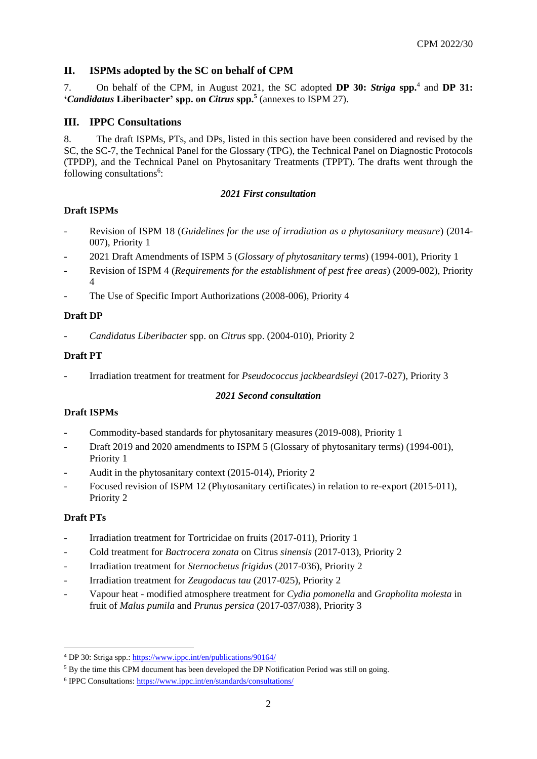# **II. ISPMs adopted by the SC on behalf of CPM**

7. On behalf of the CPM, in August 2021, the SC adopted **DP 30:** *Striga* **spp.**<sup>4</sup> and **DP 31: '***Candidatus* **Liberibacter' spp. on** *Citrus* **spp.<sup>5</sup>** (annexes to ISPM 27).

#### **III. IPPC Consultations**

8. The draft ISPMs, PTs, and DPs, listed in this section have been considered and revised by the SC, the SC-7, the Technical Panel for the Glossary (TPG), the Technical Panel on Diagnostic Protocols (TPDP), and the Technical Panel on Phytosanitary Treatments (TPPT). The drafts went through the following consultations<sup>6</sup>:

#### *2021 First consultation*

#### **Draft ISPMs**

- Revision of ISPM 18 (*Guidelines for the use of irradiation as a phytosanitary measure*) (2014- 007), Priority 1
- 2021 Draft Amendments of ISPM 5 (*Glossary of phytosanitary terms*) (1994-001), Priority 1
- Revision of ISPM 4 (*Requirements for the establishment of pest free areas*) (2009-002), Priority 4
- The Use of Specific Import Authorizations (2008-006), Priority 4

#### **Draft DP**

- *Candidatus Liberibacter* spp. on *Citrus* spp. (2004-010), Priority 2

#### **Draft PT**

- Irradiation treatment for treatment for *Pseudococcus jackbeardsleyi* (2017-027), Priority 3

## *2021 Second consultation*

## **Draft ISPMs**

- Commodity-based standards for phytosanitary measures (2019-008), Priority 1
- Draft 2019 and 2020 amendments to ISPM 5 (Glossary of phytosanitary terms) (1994-001), Priority 1
- Audit in the phytosanitary context (2015-014), Priority 2
- Focused revision of ISPM 12 (Phytosanitary certificates) in relation to re-export (2015-011), Priority 2

## **Draft PTs**

- Irradiation treatment for Tortricidae on fruits (2017-011), Priority 1
- Cold treatment for *Bactrocera zonata* on Citrus *sinensis* (2017-013), Priority 2
- Irradiation treatment for *Sternochetus frigidus* (2017-036), Priority 2
- Irradiation treatment for *Zeugodacus tau* (2017-025), Priority 2
- Vapour heat modified atmosphere treatment for *Cydia pomonella* and *Grapholita molesta* in fruit of *Malus pumila* and *Prunus persica* (2017-037/038), Priority 3

<sup>1</sup> <sup>4</sup> DP 30: Striga spp.:<https://www.ippc.int/en/publications/90164/>

<sup>5</sup> By the time this CPM document has been developed the DP Notification Period was still on going.

<sup>&</sup>lt;sup>6</sup> IPPC Consultations[: https://www.ippc.int/en/standards/consultations/](https://www.ippc.int/en/standards/consultations/)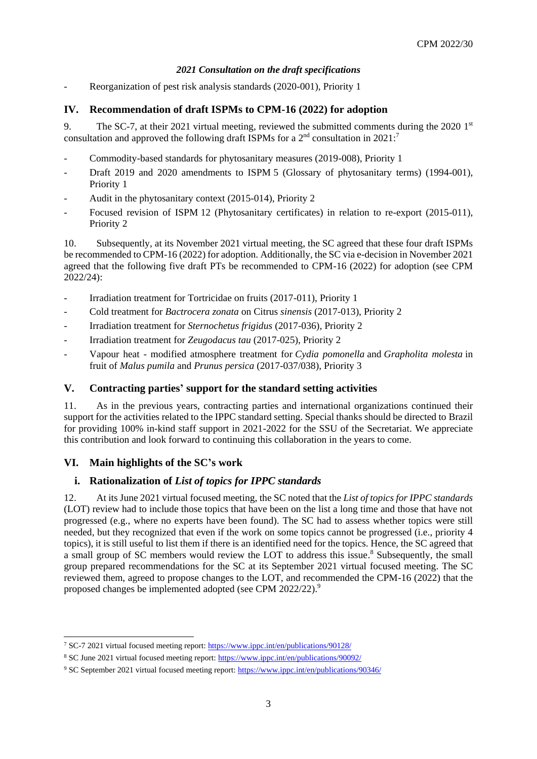# *2021 Consultation on the draft specifications*

Reorganization of pest risk analysis standards (2020-001), Priority 1

# **IV. Recommendation of draft ISPMs to CPM-16 (2022) for adoption**

9. The SC-7, at their 2021 virtual meeting, reviewed the submitted comments during the 2020 1<sup>st</sup> consultation and approved the following draft ISPMs for a  $2<sup>nd</sup>$  consultation in 2021:<sup>7</sup>

- Commodity-based standards for phytosanitary measures (2019-008), Priority 1
- Draft 2019 and 2020 amendments to ISPM 5 (Glossary of phytosanitary terms) (1994-001), Priority 1
- Audit in the phytosanitary context (2015-014), Priority 2
- Focused revision of ISPM 12 (Phytosanitary certificates) in relation to re-export (2015-011), Priority 2

10. Subsequently, at its November 2021 virtual meeting, the SC agreed that these four draft ISPMs be recommended to CPM-16 (2022) for adoption. Additionally, the SC via e-decision in November 2021 agreed that the following five draft PTs be recommended to CPM-16 (2022) for adoption (see CPM 2022/24):

- Irradiation treatment for Tortricidae on fruits (2017-011), Priority 1
- Cold treatment for *Bactrocera zonata* on Citrus *sinensis* (2017-013), Priority 2
- Irradiation treatment for *Sternochetus frigidus* (2017-036), Priority 2
- Irradiation treatment for *Zeugodacus tau* (2017-025), Priority 2
- Vapour heat modified atmosphere treatment for *Cydia pomonella* and *Grapholita molesta* in fruit of *Malus pumila* and *Prunus persica* (2017-037/038), Priority 3

## **V. Contracting parties' support for the standard setting activities**

11. As in the previous years, contracting parties and international organizations continued their support for the activities related to the IPPC standard setting. Special thanks should be directed to Brazil for providing 100% in-kind staff support in 2021-2022 for the SSU of the Secretariat. We appreciate this contribution and look forward to continuing this collaboration in the years to come.

# **VI. Main highlights of the SC's work**

1

# **i. Rationalization of** *List of topics for IPPC standards*

12. At its June 2021 virtual focused meeting, the SC noted that the *List of topics for IPPC standards* (LOT) review had to include those topics that have been on the list a long time and those that have not progressed (e.g., where no experts have been found). The SC had to assess whether topics were still needed, but they recognized that even if the work on some topics cannot be progressed (i.e., priority 4 topics), it is still useful to list them if there is an identified need for the topics. Hence, the SC agreed that a small group of SC members would review the LOT to address this issue.<sup>8</sup> Subsequently, the small group prepared recommendations for the SC at its September 2021 virtual focused meeting. The SC reviewed them, agreed to propose changes to the LOT, and recommended the CPM-16 (2022) that the proposed changes be implemented adopted (see CPM 2022/22).<sup>9</sup>

<sup>7</sup> SC-7 2021 virtual focused meeting report[: https://www.ippc.int/en/publications/90128/](https://www.ippc.int/en/publications/90128/)

<sup>&</sup>lt;sup>8</sup> SC June 2021 virtual focused meeting report:<https://www.ippc.int/en/publications/90092/>

<sup>9</sup> SC September 2021 virtual focused meeting report:<https://www.ippc.int/en/publications/90346/>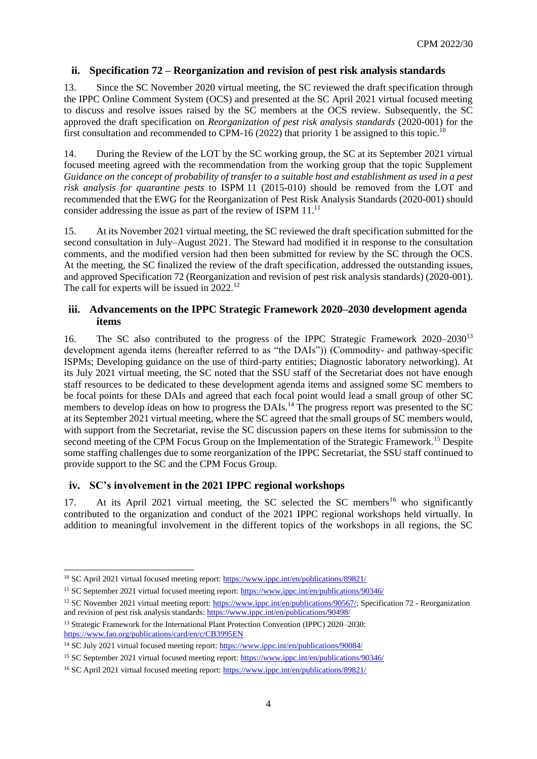#### **ii. Specification 72 – Reorganization and revision of pest risk analysis standards**

13. Since the SC November 2020 virtual meeting, the SC reviewed the draft specification through the IPPC Online Comment System (OCS) and presented at the SC April 2021 virtual focused meeting to discuss and resolve issues raised by the SC members at the OCS review. Subsequently, the SC approved the draft specification on *Reorganization of pest risk analysis standards* (2020-001) for the first consultation and recommended to CPM-16 (2022) that priority 1 be assigned to this topic.<sup>10</sup>

14. During the Review of the LOT by the SC working group, the SC at its September 2021 virtual focused meeting agreed with the recommendation from the working group that the topic Supplement *Guidance on the concept of probability of transfer to a suitable host and establishment as used in a pest risk analysis for quarantine pests* to ISPM 11 (2015-010) should be removed from the LOT and recommended that the EWG for the Reorganization of Pest Risk Analysis Standards (2020-001) should consider addressing the issue as part of the review of ISPM 11.<sup>11</sup>

15. At its November 2021 virtual meeting, the SC reviewed the draft specification submitted for the second consultation in July–August 2021. The Steward had modified it in response to the consultation comments, and the modified version had then been submitted for review by the SC through the OCS. At the meeting, the SC finalized the review of the draft specification, addressed the outstanding issues, and approved Specification 72 (Reorganization and revision of pest risk analysis standards) (2020-001). The call for experts will be issued in 2022.<sup>12</sup>

#### **iii. Advancements on the IPPC Strategic Framework 2020–2030 development agenda items**

16. The SC also contributed to the progress of the IPPC Strategic Framework 2020–2030<sup>13</sup> development agenda items (hereafter referred to as "the DAIs")) (Commodity- and pathway-specific ISPMs; Developing guidance on the use of third-party entities; Diagnostic laboratory networking). At its July 2021 virtual meeting, the SC noted that the SSU staff of the Secretariat does not have enough staff resources to be dedicated to these development agenda items and assigned some SC members to be focal points for these DAIs and agreed that each focal point would lead a small group of other SC members to develop ideas on how to progress the DAIs.<sup>14</sup> The progress report was presented to the SC at its September 2021 virtual meeting, where the SC agreed that the small groups of SC members would, with support from the Secretariat, revise the SC discussion papers on these items for submission to the second meeting of the CPM Focus Group on the Implementation of the Strategic Framework.<sup>15</sup> Despite some staffing challenges due to some reorganization of the IPPC Secretariat, the SSU staff continued to provide support to the SC and the CPM Focus Group.

## **iv. SC's involvement in the 2021 IPPC regional workshops**

17. At its April 2021 virtual meeting, the SC selected the SC members<sup>16</sup> who significantly contributed to the organization and conduct of the 2021 IPPC regional workshops held virtually. In addition to meaningful involvement in the different topics of the workshops in all regions, the SC

-

<sup>&</sup>lt;sup>10</sup> SC April 2021 virtual focused meeting report[: https://www.ippc.int/en/publications/89821/](https://www.ippc.int/en/publications/89821/)

<sup>&</sup>lt;sup>11</sup> SC September 2021 virtual focused meeting report:<https://www.ippc.int/en/publications/90346/>

<sup>12</sup> SC November 2021 virtual meeting report: [https://www.ippc.int/en/publications/90567/;](https://www.ippc.int/en/publications/90567/) Specification 72 - Reorganization and revision of pest risk analysis standards[: https://www.ippc.int/en/publications/90498/](https://www.ippc.int/en/publications/90498/)

<sup>&</sup>lt;sup>13</sup> Strategic Framework for the International Plant Protection Convention (IPPC) 2020–2030: <https://www.fao.org/publications/card/en/c/CB3995EN>

<sup>&</sup>lt;sup>14</sup> SC July 2021 virtual focused meeting report[: https://www.ippc.int/en/publications/90084/](https://www.ippc.int/en/publications/90084/)

<sup>15</sup> SC September 2021 virtual focused meeting report:<https://www.ippc.int/en/publications/90346/>

<sup>&</sup>lt;sup>16</sup> SC April 2021 virtual focused meeting report[: https://www.ippc.int/en/publications/89821/](https://www.ippc.int/en/publications/89821/)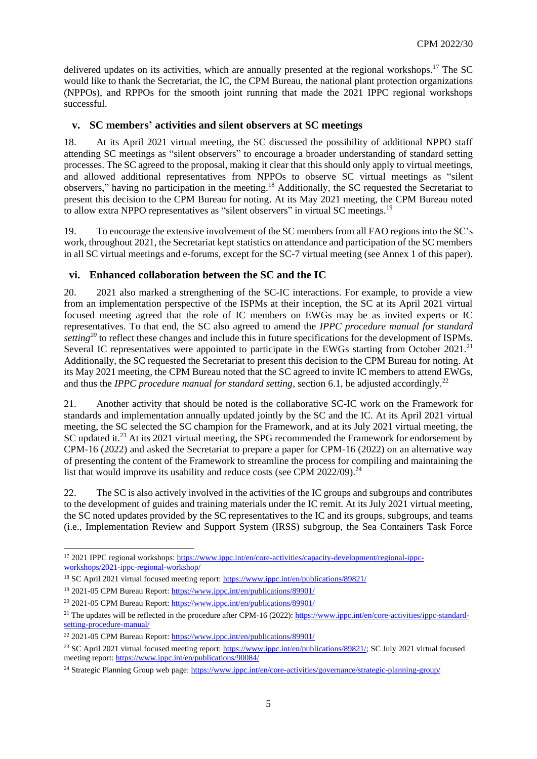delivered updates on its activities, which are annually presented at the regional workshops.<sup>17</sup> The SC would like to thank the Secretariat, the IC, the CPM Bureau, the national plant protection organizations (NPPOs), and RPPOs for the smooth joint running that made the 2021 IPPC regional workshops successful.

# **v. SC members' activities and silent observers at SC meetings**

18. At its April 2021 virtual meeting, the SC discussed the possibility of additional NPPO staff attending SC meetings as "silent observers" to encourage a broader understanding of standard setting processes. The SC agreed to the proposal, making it clear that this should only apply to virtual meetings, and allowed additional representatives from NPPOs to observe SC virtual meetings as "silent observers," having no participation in the meeting.<sup>18</sup> Additionally, the SC requested the Secretariat to present this decision to the CPM Bureau for noting. At its May 2021 meeting, the CPM Bureau noted to allow extra NPPO representatives as "silent observers" in virtual SC meetings.<sup>19</sup>

19. To encourage the extensive involvement of the SC members from all FAO regions into the SC's work, throughout 2021, the Secretariat kept statistics on attendance and participation of the SC members in all SC virtual meetings and e-forums, except for the SC-7 virtual meeting (see Annex 1 of this paper).

# **vi. Enhanced collaboration between the SC and the IC**

20. 2021 also marked a strengthening of the SC-IC interactions. For example, to provide a view from an implementation perspective of the ISPMs at their inception, the SC at its April 2021 virtual focused meeting agreed that the role of IC members on EWGs may be as invited experts or IC representatives. To that end, the SC also agreed to amend the *IPPC procedure manual for standard setting<sup>20</sup>* to reflect these changes and include this in future specifications for the development of ISPMs. Several IC representatives were appointed to participate in the EWGs starting from October 2021.<sup>21</sup> Additionally, the SC requested the Secretariat to present this decision to the CPM Bureau for noting. At its May 2021 meeting, the CPM Bureau noted that the SC agreed to invite IC members to attend EWGs, and thus the *IPPC procedure manual for standard setting*, section 6.1, be adjusted accordingly.<sup>22</sup>

21. Another activity that should be noted is the collaborative SC-IC work on the Framework for standards and implementation annually updated jointly by the SC and the IC. At its April 2021 virtual meeting, the SC selected the SC champion for the Framework, and at its July 2021 virtual meeting, the SC updated it.<sup>23</sup> At its 2021 virtual meeting, the SPG recommended the Framework for endorsement by CPM-16 (2022) and asked the Secretariat to prepare a paper for CPM-16 (2022) on an alternative way of presenting the content of the Framework to streamline the process for compiling and maintaining the list that would improve its usability and reduce costs (see CPM  $2022/09$ ).<sup>24</sup>

22. The SC is also actively involved in the activities of the IC groups and subgroups and contributes to the development of guides and training materials under the IC remit. At its July 2021 virtual meeting, the SC noted updates provided by the SC representatives to the IC and its groups, subgroups, and teams (i.e., Implementation Review and Support System (IRSS) subgroup, the Sea Containers Task Force

<sup>1</sup> <sup>17</sup> 2021 IPPC regional workshops: [https://www.ippc.int/en/core-activities/capacity-development/regional-ippc](https://www.ippc.int/en/core-activities/capacity-development/regional-ippc-workshops/2021-ippc-regional-workshop/)[workshops/2021-ippc-regional-workshop/](https://www.ippc.int/en/core-activities/capacity-development/regional-ippc-workshops/2021-ippc-regional-workshop/)

<sup>18</sup> SC April 2021 virtual focused meeting report[: https://www.ippc.int/en/publications/89821/](https://www.ippc.int/en/publications/89821/)

<sup>19</sup> 2021-05 CPM Bureau Report:<https://www.ippc.int/en/publications/89901/>

<sup>20</sup> 2021-05 CPM Bureau Report:<https://www.ippc.int/en/publications/89901/>

<sup>&</sup>lt;sup>21</sup> The updates will be reflected in the procedure after CPM-16 (2022)[: https://www.ippc.int/en/core-activities/ippc-standard](https://www.ippc.int/en/core-activities/ippc-standard-setting-procedure-manual/)[setting-procedure-manual/](https://www.ippc.int/en/core-activities/ippc-standard-setting-procedure-manual/)

<sup>&</sup>lt;sup>22</sup> 2021-05 CPM Bureau Report:<https://www.ippc.int/en/publications/89901/>

<sup>&</sup>lt;sup>23</sup> SC April 2021 virtual focused meeting report[: https://www.ippc.int/en/publications/89821/;](https://www.ippc.int/en/publications/89821/) SC July 2021 virtual focused meeting report[: https://www.ippc.int/en/publications/90084/](https://www.ippc.int/en/publications/90084/)

<sup>&</sup>lt;sup>24</sup> Strategic Planning Group web page:<https://www.ippc.int/en/core-activities/governance/strategic-planning-group/>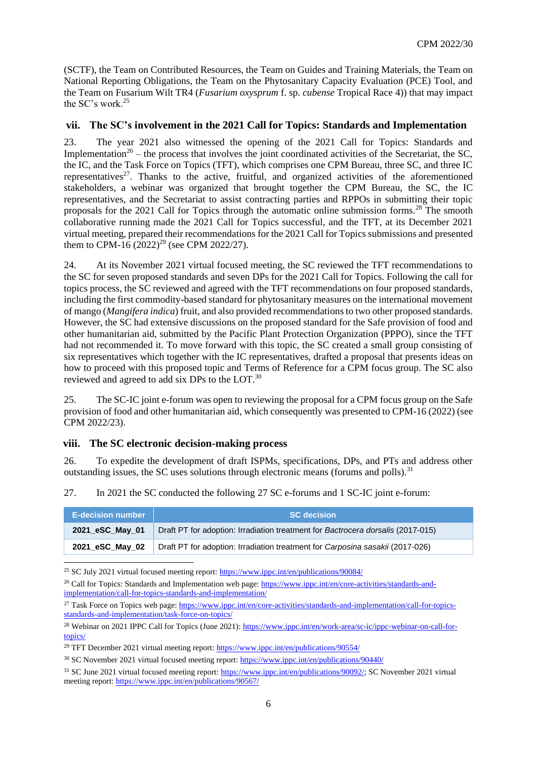(SCTF), the Team on Contributed Resources, the Team on Guides and Training Materials, the Team on National Reporting Obligations, the Team on the Phytosanitary Capacity Evaluation (PCE) Tool, and the Team on Fusarium Wilt TR4 (*Fusarium oxysprum* f. sp. *cubense* Tropical Race 4)) that may impact the SC's work.<sup>25</sup>

#### **vii. The SC's involvement in the 2021 Call for Topics: Standards and Implementation**

23. The year 2021 also witnessed the opening of the 2021 Call for Topics: Standards and Implementation<sup>26</sup> – the process that involves the joint coordinated activities of the Secretariat, the SC, the IC, and the Task Force on Topics (TFT), which comprises one CPM Bureau, three SC, and three IC representatives<sup>27</sup>. Thanks to the active, fruitful, and organized activities of the aforementioned stakeholders, a webinar was organized that brought together the CPM Bureau, the SC, the IC representatives, and the Secretariat to assist contracting parties and RPPOs in submitting their topic proposals for the 2021 Call for Topics through the automatic online submission forms.<sup>28</sup> The smooth collaborative running made the 2021 Call for Topics successful, and the TFT, at its December 2021 virtual meeting, prepared their recommendations for the 2021 Call for Topics submissions and presented them to CPM-16  $(2022)^{29}$  (see CPM 2022/27).

24. At its November 2021 virtual focused meeting, the SC reviewed the TFT recommendations to the SC for seven proposed standards and seven DPs for the 2021 Call for Topics. Following the call for topics process, the SC reviewed and agreed with the TFT recommendations on four proposed standards, including the first commodity-based standard for phytosanitary measures on the international movement of mango (*Mangifera indica*) fruit, and also provided recommendations to two other proposed standards. However, the SC had extensive discussions on the proposed standard for the Safe provision of food and other humanitarian aid, submitted by the Pacific Plant Protection Organization (PPPO), since the TFT had not recommended it. To move forward with this topic, the SC created a small group consisting of six representatives which together with the IC representatives, drafted a proposal that presents ideas on how to proceed with this proposed topic and Terms of Reference for a CPM focus group. The SC also reviewed and agreed to add six DPs to the LOT.<sup>30</sup>

25. The SC-IC joint e-forum was open to reviewing the proposal for a CPM focus group on the Safe provision of food and other humanitarian aid, which consequently was presented to CPM-16 (2022) (see CPM 2022/23).

#### **viii. The SC electronic decision-making process**

1

26. To expedite the development of draft ISPMs, specifications, DPs, and PTs and address other outstanding issues, the SC uses solutions through electronic means (forums and polls).<sup>31</sup>

27. In 2021 the SC conducted the following 27 SC e-forums and 1 SC-IC joint e-forum:

| <b>E-decision number</b> | <b>SC</b> decision                                                              |
|--------------------------|---------------------------------------------------------------------------------|
| 2021 eSC May 01          | Draft PT for adoption: Irradiation treatment for Bactrocera dorsalis (2017-015) |
| 2021 eSC May 02          | Draft PT for adoption: Irradiation treatment for Carposina sasakii (2017-026)   |

<sup>25</sup> SC July 2021 virtual focused meeting report[: https://www.ippc.int/en/publications/90084/](https://www.ippc.int/en/publications/90084/)

<sup>&</sup>lt;sup>26</sup> Call for Topics: Standards and Implementation web page[: https://www.ippc.int/en/core-activities/standards-and](https://www.ippc.int/en/core-activities/standards-and-implementation/call-for-topics-standards-and-implementation/)[implementation/call-for-topics-standards-and-implementation/](https://www.ippc.int/en/core-activities/standards-and-implementation/call-for-topics-standards-and-implementation/)

<sup>&</sup>lt;sup>27</sup> Task Force on Topics web page[: https://www.ippc.int/en/core-activities/standards-and-implementation/call-for-topics](https://www.ippc.int/en/core-activities/standards-and-implementation/call-for-topics-standards-and-implementation/task-force-on-topics/)[standards-and-implementation/task-force-on-topics/](https://www.ippc.int/en/core-activities/standards-and-implementation/call-for-topics-standards-and-implementation/task-force-on-topics/)

<sup>&</sup>lt;sup>28</sup> Webinar on 2021 IPPC Call for Topics (June 2021)[: https://www.ippc.int/en/work-area/sc-ic/ippc-webinar-on-call-for](https://www.ippc.int/en/work-area/sc-ic/ippc-webinar-on-call-for-topics/)[topics/](https://www.ippc.int/en/work-area/sc-ic/ippc-webinar-on-call-for-topics/)

<sup>&</sup>lt;sup>29</sup> TFT December 2021 virtual meeting report:<https://www.ippc.int/en/publications/90554/>

<sup>30</sup> SC November 2021 virtual focused meeting report:<https://www.ippc.int/en/publications/90440/>

<sup>31</sup> SC June 2021 virtual focused meeting report: [https://www.ippc.int/en/publications/90092/;](https://www.ippc.int/en/publications/90092/) SC November 2021 virtual meeting report[: https://www.ippc.int/en/publications/90567/](https://www.ippc.int/en/publications/90567/)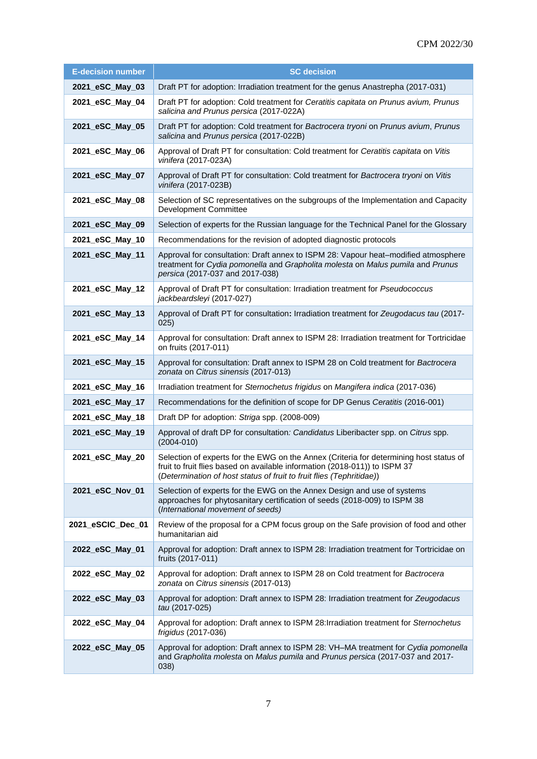| <b>E-decision number</b> | <b>SC decision</b>                                                                                                                                                                                                                           |
|--------------------------|----------------------------------------------------------------------------------------------------------------------------------------------------------------------------------------------------------------------------------------------|
| 2021_eSC_May_03          | Draft PT for adoption: Irradiation treatment for the genus Anastrepha (2017-031)                                                                                                                                                             |
| 2021_eSC_May_04          | Draft PT for adoption: Cold treatment for Ceratitis capitata on Prunus avium, Prunus<br>salicina and Prunus persica (2017-022A)                                                                                                              |
| 2021_eSC_May_05          | Draft PT for adoption: Cold treatment for Bactrocera tryoni on Prunus avium, Prunus<br>salicina and Prunus persica (2017-022B)                                                                                                               |
| 2021_eSC_May_06          | Approval of Draft PT for consultation: Cold treatment for Ceratitis capitata on Vitis<br>vinifera (2017-023A)                                                                                                                                |
| 2021_eSC_May_07          | Approval of Draft PT for consultation: Cold treatment for Bactrocera tryoni on Vitis<br>vinifera (2017-023B)                                                                                                                                 |
| 2021_eSC_May_08          | Selection of SC representatives on the subgroups of the Implementation and Capacity<br>Development Committee                                                                                                                                 |
| 2021_eSC_May_09          | Selection of experts for the Russian language for the Technical Panel for the Glossary                                                                                                                                                       |
| 2021_eSC_May_10          | Recommendations for the revision of adopted diagnostic protocols                                                                                                                                                                             |
| 2021_eSC_May_11          | Approval for consultation: Draft annex to ISPM 28: Vapour heat-modified atmosphere<br>treatment for Cydia pomonella and Grapholita molesta on Malus pumila and Prunus<br>persica (2017-037 and 2017-038)                                     |
| 2021_eSC_May_12          | Approval of Draft PT for consultation: Irradiation treatment for Pseudococcus<br>jackbeardsleyi (2017-027)                                                                                                                                   |
| 2021_eSC_May_13          | Approval of Draft PT for consultation: Irradiation treatment for Zeugodacus tau (2017-<br>025)                                                                                                                                               |
| 2021_eSC_May_14          | Approval for consultation: Draft annex to ISPM 28: Irradiation treatment for Tortricidae<br>on fruits (2017-011)                                                                                                                             |
| 2021_eSC_May_15          | Approval for consultation: Draft annex to ISPM 28 on Cold treatment for Bactrocera<br>zonata on Citrus sinensis (2017-013)                                                                                                                   |
| 2021_eSC_May_16          | Irradiation treatment for Sternochetus frigidus on Mangifera indica (2017-036)                                                                                                                                                               |
| 2021_eSC_May_17          | Recommendations for the definition of scope for DP Genus Ceratitis (2016-001)                                                                                                                                                                |
| 2021_eSC_May_18          | Draft DP for adoption: Striga spp. (2008-009)                                                                                                                                                                                                |
| 2021_eSC_May_19          | Approval of draft DP for consultation: Candidatus Liberibacter spp. on Citrus spp.<br>$(2004 - 010)$                                                                                                                                         |
| 2021_eSC_May_20          | Selection of experts for the EWG on the Annex (Criteria for determining host status of<br>fruit to fruit flies based on available information (2018-011)) to ISPM 37<br>(Determination of host status of fruit to fruit flies (Tephritidae)) |
| 2021_eSC_Nov_01          | Selection of experts for the EWG on the Annex Design and use of systems<br>approaches for phytosanitary certification of seeds (2018-009) to ISPM 38<br>(International movement of seeds)                                                    |
| 2021_eSCIC_Dec_01        | Review of the proposal for a CPM focus group on the Safe provision of food and other<br>humanitarian aid                                                                                                                                     |
| 2022_eSC_May_01          | Approval for adoption: Draft annex to ISPM 28: Irradiation treatment for Tortricidae on<br>fruits (2017-011)                                                                                                                                 |
| 2022_eSC_May_02          | Approval for adoption: Draft annex to ISPM 28 on Cold treatment for Bactrocera<br>zonata on Citrus sinensis (2017-013)                                                                                                                       |
| 2022_eSC_May_03          | Approval for adoption: Draft annex to ISPM 28: Irradiation treatment for Zeugodacus<br>tau (2017-025)                                                                                                                                        |
| 2022_eSC_May_04          | Approval for adoption: Draft annex to ISPM 28: Irradiation treatment for Sternochetus<br>frigidus (2017-036)                                                                                                                                 |
| 2022_eSC_May_05          | Approval for adoption: Draft annex to ISPM 28: VH-MA treatment for Cydia pomonella<br>and Grapholita molesta on Malus pumila and Prunus persica (2017-037 and 2017-<br>(038)                                                                 |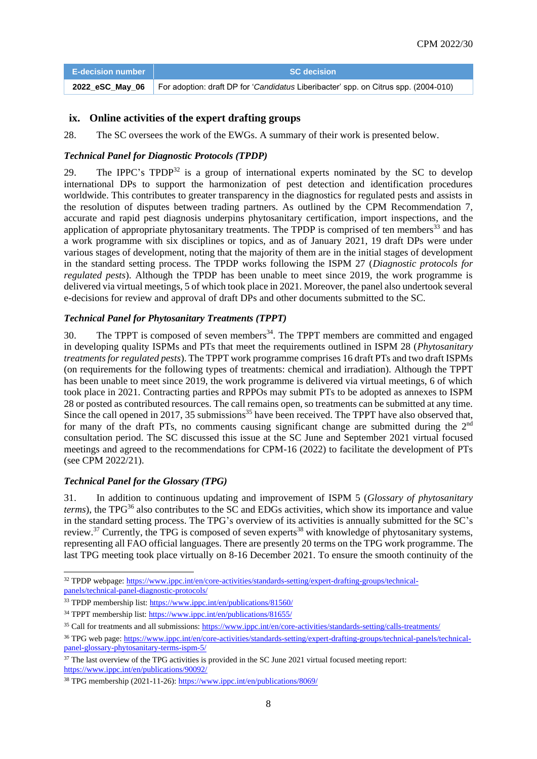| <b>E-decision number</b> I | <b>SC</b> decision                                                                                  |
|----------------------------|-----------------------------------------------------------------------------------------------------|
|                            | 2022 eSC_May_06 For adoption: draft DP for 'Candidatus Liberibacter' spp. on Citrus spp. (2004-010) |

## **ix. Online activities of the expert drafting groups**

28. The SC oversees the work of the EWGs. A summary of their work is presented below.

#### *Technical Panel for Diagnostic Protocols (TPDP)*

29. The IPPC's  $T$ PDP<sup>32</sup> is a group of international experts nominated by the SC to develop international DPs to support the harmonization of pest detection and identification procedures worldwide. This contributes to greater transparency in the diagnostics for regulated pests and assists in the resolution of disputes between trading partners. As outlined by the CPM Recommendation 7, accurate and rapid pest diagnosis underpins phytosanitary certification, import inspections, and the application of appropriate phytosanitary treatments. The TPDP is comprised of ten members $^{33}$  and has a work programme with six disciplines or topics, and as of January 2021, 19 draft DPs were under various stages of development, noting that the majority of them are in the initial stages of development in the standard setting process. The TPDP works following the ISPM 27 (*Diagnostic protocols for regulated pests*). Although the TPDP has been unable to meet since 2019, the work programme is delivered via virtual meetings, 5 of which took place in 2021. Moreover, the panel also undertook several e-decisions for review and approval of draft DPs and other documents submitted to the SC.

#### *Technical Panel for Phytosanitary Treatments (TPPT)*

30. The TPPT is composed of seven members<sup>34</sup>. The TPPT members are committed and engaged in developing quality ISPMs and PTs that meet the requirements outlined in ISPM 28 (*Phytosanitary treatments for regulated pests*). The TPPT work programme comprises 16 draft PTs and two draft ISPMs (on requirements for the following types of treatments: chemical and irradiation). Although the TPPT has been unable to meet since 2019, the work programme is delivered via virtual meetings, 6 of which took place in 2021. Contracting parties and RPPOs may submit PTs to be adopted as annexes to ISPM 28 or posted as contributed resources. The call remains open, so treatments can be submitted at any time. Since the call opened in 2017, 35 submissions<sup>35</sup> have been received. The TPPT have also observed that, for many of the draft PTs, no comments causing significant change are submitted during the  $2<sup>nd</sup>$ consultation period. The SC discussed this issue at the SC June and September 2021 virtual focused meetings and agreed to the recommendations for CPM-16 (2022) to facilitate the development of PTs (see CPM 2022/21).

#### *Technical Panel for the Glossary (TPG)*

-

31. In addition to continuous updating and improvement of ISPM 5 (*Glossary of phytosanitary terms*), the TPG<sup>36</sup> also contributes to the SC and EDGs activities, which show its importance and value in the standard setting process. The TPG's overview of its activities is annually submitted for the SC's review.<sup>37</sup> Currently, the TPG is composed of seven experts<sup>38</sup> with knowledge of phytosanitary systems, representing all FAO official languages. There are presently 20 terms on the TPG work programme. The last TPG meeting took place virtually on 8-16 December 2021. To ensure the smooth continuity of the

<sup>&</sup>lt;sup>32</sup> TPDP webpage: [https://www.ippc.int/en/core-activities/standards-setting/expert-drafting-groups/technical](https://www.ippc.int/en/core-activities/standards-setting/expert-drafting-groups/technical-panels/technical-panel-diagnostic-protocols/)[panels/technical-panel-diagnostic-protocols/](https://www.ippc.int/en/core-activities/standards-setting/expert-drafting-groups/technical-panels/technical-panel-diagnostic-protocols/)

<sup>&</sup>lt;sup>33</sup> TPDP membership list:<https://www.ippc.int/en/publications/81560/>

<sup>34</sup> TPPT membership list:<https://www.ippc.int/en/publications/81655/>

<sup>&</sup>lt;sup>35</sup> Call for treatments and all submissions:<https://www.ippc.int/en/core-activities/standards-setting/calls-treatments/>

<sup>&</sup>lt;sup>36</sup> TPG web page[: https://www.ippc.int/en/core-activities/standards-setting/expert-drafting-groups/technical-panels/technical](https://www.ippc.int/en/core-activities/standards-setting/expert-drafting-groups/technical-panels/technical-panel-glossary-phytosanitary-terms-ispm-5/)[panel-glossary-phytosanitary-terms-ispm-5/](https://www.ippc.int/en/core-activities/standards-setting/expert-drafting-groups/technical-panels/technical-panel-glossary-phytosanitary-terms-ispm-5/)

<sup>&</sup>lt;sup>37</sup> The last overview of the TPG activities is provided in the SC June 2021 virtual focused meeting report: <https://www.ippc.int/en/publications/90092/>

<sup>38</sup> TPG membership (2021-11-26):<https://www.ippc.int/en/publications/8069/>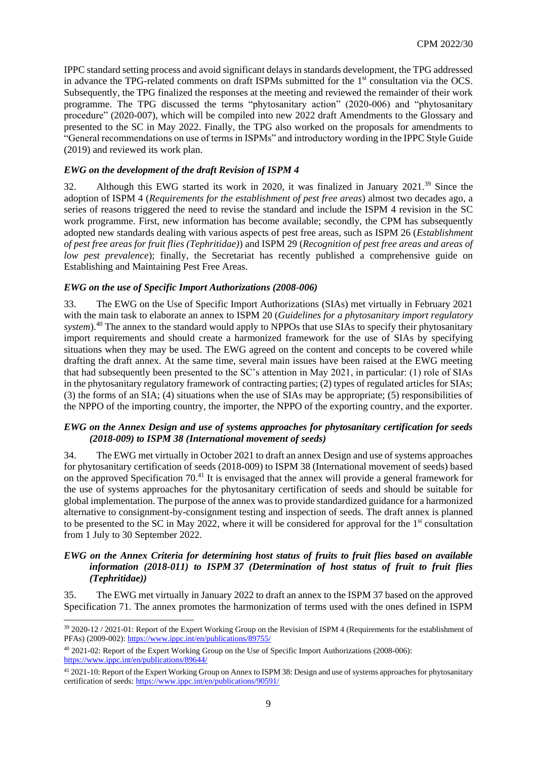IPPC standard setting process and avoid significant delays in standards development, the TPG addressed in advance the TPG-related comments on draft ISPMs submitted for the 1<sup>st</sup> consultation via the OCS. Subsequently, the TPG finalized the responses at the meeting and reviewed the remainder of their work programme. The TPG discussed the terms "phytosanitary action" (2020-006) and "phytosanitary procedure" (2020-007), which will be compiled into new 2022 draft Amendments to the Glossary and presented to the SC in May 2022. Finally, the TPG also worked on the proposals for amendments to "General recommendations on use of terms in ISPMs" and introductory wording in the IPPC Style Guide (2019) and reviewed its work plan.

#### *EWG on the development of the draft Revision of ISPM 4*

32. Although this EWG started its work in 2020, it was finalized in January 2021.<sup>39</sup> Since the adoption of ISPM 4 (*Requirements for the establishment of pest free areas*) almost two decades ago, a series of reasons triggered the need to revise the standard and include the ISPM 4 revision in the SC work programme. First, new information has become available; secondly, the CPM has subsequently adopted new standards dealing with various aspects of pest free areas, such as ISPM 26 (*Establishment of pest free areas for fruit flies (Tephritidae)*) and ISPM 29 (*Recognition of pest free areas and areas of low pest prevalence*); finally, the Secretariat has recently published a comprehensive guide on Establishing and Maintaining Pest Free Areas.

#### *EWG on the use of Specific Import Authorizations (2008-006)*

33. The EWG on the Use of Specific Import Authorizations (SIAs) met virtually in February 2021 with the main task to elaborate an annex to ISPM 20 (*Guidelines for a phytosanitary import regulatory*  system).<sup>40</sup> The annex to the standard would apply to NPPOs that use SIAs to specify their phytosanitary import requirements and should create a harmonized framework for the use of SIAs by specifying situations when they may be used. The EWG agreed on the content and concepts to be covered while drafting the draft annex. At the same time, several main issues have been raised at the EWG meeting that had subsequently been presented to the SC's attention in May 2021, in particular: (1) role of SIAs in the phytosanitary regulatory framework of contracting parties; (2) types of regulated articles for SIAs; (3) the forms of an SIA; (4) situations when the use of SIAs may be appropriate; (5) responsibilities of the NPPO of the importing country, the importer, the NPPO of the exporting country, and the exporter.

#### *EWG on the Annex Design and use of systems approaches for phytosanitary certification for seeds (2018-009) to ISPM 38 (International movement of seeds)*

34. The EWG met virtually in October 2021 to draft an annex Design and use of systems approaches for phytosanitary certification of seeds (2018-009) to ISPM 38 (International movement of seeds) based on the approved Specification 70.<sup>41</sup> It is envisaged that the annex will provide a general framework for the use of systems approaches for the phytosanitary certification of seeds and should be suitable for global implementation. The purpose of the annex was to provide standardized guidance for a harmonized alternative to consignment-by-consignment testing and inspection of seeds. The draft annex is planned to be presented to the SC in May 2022, where it will be considered for approval for the  $1<sup>st</sup>$  consultation from 1 July to 30 September 2022.

#### *EWG on the Annex Criteria for determining host status of fruits to fruit flies based on available information (2018-011) to ISPM 37 (Determination of host status of fruit to fruit flies (Tephritidae))*

35. The EWG met virtually in January 2022 to draft an annex to the ISPM 37 based on the approved Specification 71. The annex promotes the harmonization of terms used with the ones defined in ISPM

1

<sup>39</sup> 2020-12 / 2021-01: Report of the Expert Working Group on the Revision of ISPM 4 (Requirements for the establishment of PFAs) (2009-002)[: https://www.ippc.int/en/publications/89755/](https://www.ippc.int/en/publications/89755/)

<sup>40</sup> 2021-02: Report of the Expert Working Group on the Use of Specific Import Authorizations (2008-006): <https://www.ippc.int/en/publications/89644/>

<sup>41</sup> 2021-10: Report of the Expert Working Group on Annex to ISPM 38: Design and use of systems approaches for phytosanitary certification of seeds[: https://www.ippc.int/en/publications/90591/](https://www.ippc.int/en/publications/90591/)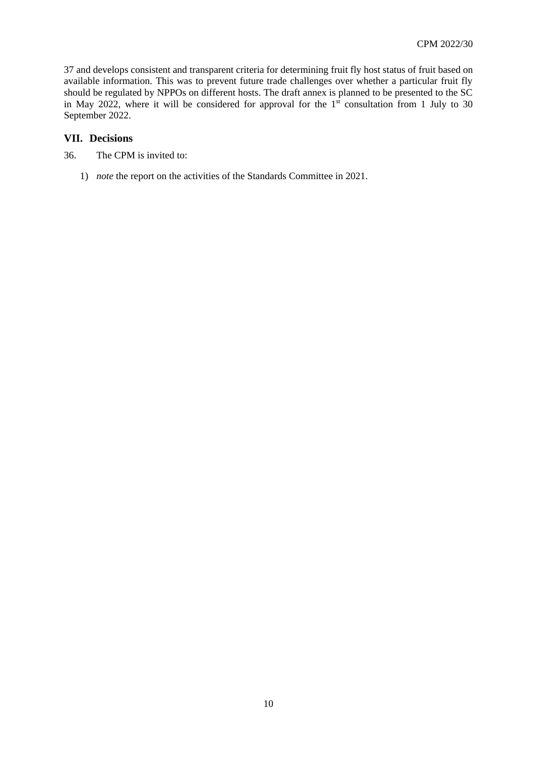37 and develops consistent and transparent criteria for determining fruit fly host status of fruit based on available information. This was to prevent future trade challenges over whether a particular fruit fly should be regulated by NPPOs on different hosts. The draft annex is planned to be presented to the SC in May 2022, where it will be considered for approval for the  $1<sup>st</sup>$  consultation from 1 July to 30 September 2022.

#### **VII. Decisions**

- 36. The CPM is invited to:
	- 1) *note* the report on the activities of the Standards Committee in 2021.